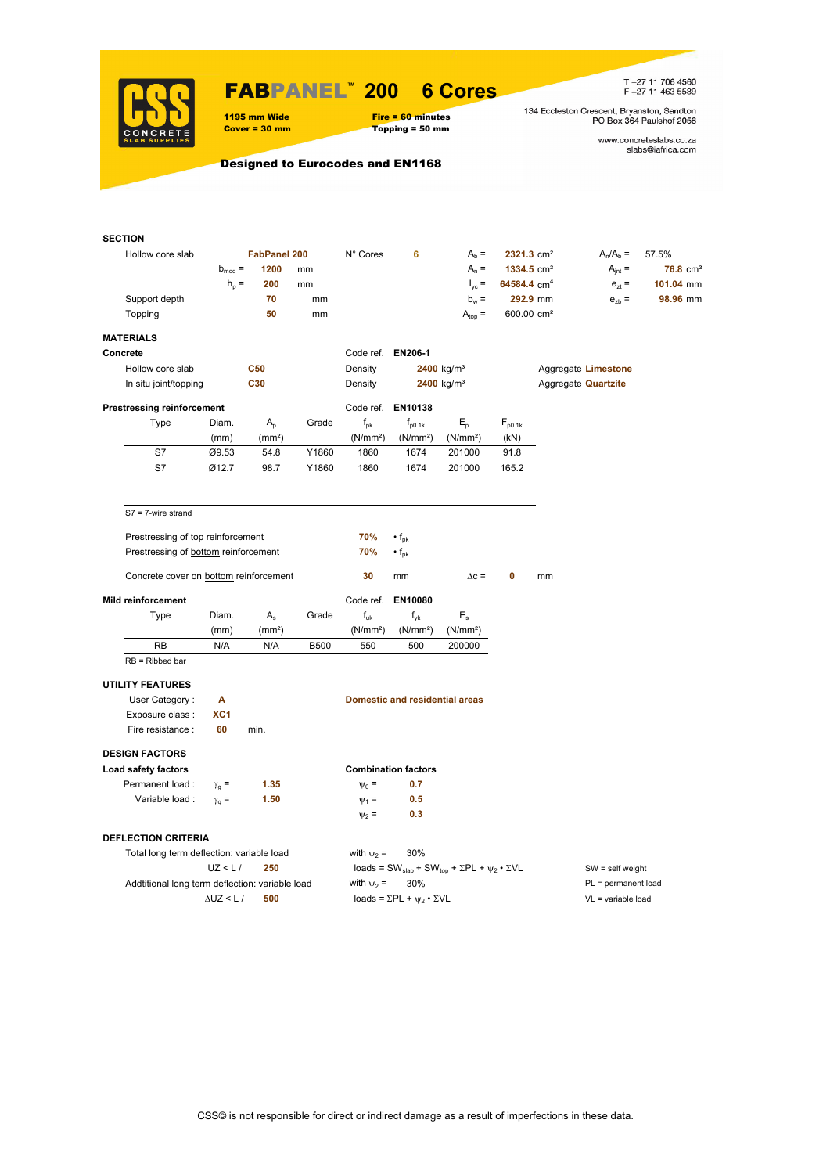

### FABPANEL**™ 200 6 Cores**

1195 mm Wide Fire = 60 minutes<br>
Cover = 30 mm Topping = 50 mm

 $Topping = 50 mm$ 

T +27 11 706 4560<br>F +27 11 463 5589

134 Eccleston Crescent, Bryanston, Sandton<br>PO Box 364 Paulshof 2056

www.concreteslabs.co.za<br>slabs@iafrica.com

### Designed to Eurocodes and EN1168

| <b>SECTION</b>                                  |                    |                     |             |                      |                                                |                                                                                         |                        |          |                            |                     |
|-------------------------------------------------|--------------------|---------------------|-------------|----------------------|------------------------------------------------|-----------------------------------------------------------------------------------------|------------------------|----------|----------------------------|---------------------|
| Hollow core slab                                |                    | <b>FabPanel 200</b> |             | N° Cores             | 6                                              | $A_b =$                                                                                 | 2321.3 cm <sup>2</sup> |          | $A_n/A_b =$                | 57.5%               |
|                                                 | $b_{mod}$ =        | 1200                | mm          |                      |                                                | $A_n =$                                                                                 | 1334.5 cm <sup>2</sup> |          | $A_{int} =$                | $76.8 \text{ cm}^2$ |
|                                                 | $h_{p} =$          | 200                 | mm          |                      |                                                | $I_{\text{yc}} =$                                                                       | 64584.4 $cm4$          |          | $e_{zt}$ =                 | 101.04 mm           |
| Support depth                                   |                    | 70                  | mm          |                      |                                                | $b_w =$                                                                                 |                        | 292.9 mm | $e_{zb}$ =                 | 98.96 mm            |
| Topping                                         |                    | 50                  | mm          |                      |                                                | $A_{top} =$                                                                             | 600.00 cm <sup>2</sup> |          |                            |                     |
|                                                 |                    |                     |             |                      |                                                |                                                                                         |                        |          |                            |                     |
| <b>MATERIALS</b>                                |                    |                     |             |                      |                                                |                                                                                         |                        |          |                            |                     |
| Concrete                                        |                    |                     |             | Code ref. EN206-1    |                                                |                                                                                         |                        |          |                            |                     |
| Hollow core slab                                |                    | <b>C50</b>          |             | Density              |                                                | 2400 kg/m <sup>3</sup>                                                                  |                        |          | Aggregate Limestone        |                     |
| In situ joint/topping                           |                    | C30                 |             | Density              |                                                | $2400$ kg/m <sup>3</sup>                                                                |                        |          | Aggregate <b>Quartzite</b> |                     |
| <b>Prestressing reinforcement</b>               |                    |                     |             |                      | Code ref. EN10138                              |                                                                                         |                        |          |                            |                     |
| Type                                            | Diam.              | $A_{p}$             | Grade       | $f_{\rm pk}$         | $f_{\text{D}0.1k}$                             | $E_{\rm p}$                                                                             | $F_{p0.1k}$            |          |                            |                     |
|                                                 | (mm)               | (mm <sup>2</sup> )  |             | (N/mm <sup>2</sup> ) | (N/mm <sup>2</sup> )                           | (N/mm <sup>2</sup> )                                                                    | (kN)                   |          |                            |                     |
| S7                                              | Ø9.53              | 54.8                | Y1860       | 1860                 | 1674                                           | 201000                                                                                  | 91.8                   |          |                            |                     |
| S7                                              | Ø12.7              | 98.7                | Y1860       | 1860                 | 1674                                           | 201000                                                                                  | 165.2                  |          |                            |                     |
|                                                 |                    |                     |             |                      |                                                |                                                                                         |                        |          |                            |                     |
| $S7 = 7$ -wire strand                           |                    |                     |             |                      |                                                |                                                                                         |                        |          |                            |                     |
| Prestressing of top reinforcement               |                    |                     |             | 70%                  | $\cdot$ f <sub>pk</sub>                        |                                                                                         |                        |          |                            |                     |
| Prestressing of bottom reinforcement            |                    |                     |             | 70%                  | $\cdot$ f <sub>pk</sub>                        |                                                                                         |                        |          |                            |                     |
|                                                 |                    |                     |             |                      |                                                |                                                                                         |                        |          |                            |                     |
| Concrete cover on bottom reinforcement          |                    |                     |             | 30                   | mm                                             | $\Delta c =$                                                                            | 0                      | mm       |                            |                     |
| <b>Mild reinforcement</b>                       |                    |                     |             | Code ref.            | EN10080                                        |                                                                                         |                        |          |                            |                     |
| Type                                            | Diam.              | $A_{s}$             | Grade       | $f_{uk}$             | $f_{\nu k}$                                    | $E_{s}$                                                                                 |                        |          |                            |                     |
|                                                 | (mm)               | (mm <sup>2</sup> )  |             | (N/mm <sup>2</sup> ) | (N/mm <sup>2</sup> )                           | (N/mm <sup>2</sup> )                                                                    |                        |          |                            |                     |
| RB                                              | N/A                | N/A                 | <b>B500</b> | 550                  | 500                                            | 200000                                                                                  |                        |          |                            |                     |
| $RB = Ribbed bar$                               |                    |                     |             |                      |                                                |                                                                                         |                        |          |                            |                     |
| <b>UTILITY FEATURES</b>                         |                    |                     |             |                      |                                                |                                                                                         |                        |          |                            |                     |
| User Category:                                  | A                  |                     |             |                      | <b>Domestic and residential areas</b>          |                                                                                         |                        |          |                            |                     |
| Exposure class :                                | XC <sub>1</sub>    |                     |             |                      |                                                |                                                                                         |                        |          |                            |                     |
| Fire resistance :                               | 60                 | min.                |             |                      |                                                |                                                                                         |                        |          |                            |                     |
| <b>DESIGN FACTORS</b>                           |                    |                     |             |                      |                                                |                                                                                         |                        |          |                            |                     |
| Load safety factors                             |                    |                     |             |                      | <b>Combination factors</b>                     |                                                                                         |                        |          |                            |                     |
| Permanent load:                                 | $\gamma_{\rm q}$ = | 1.35                |             | $\Psi_0 =$           | 0.7                                            |                                                                                         |                        |          |                            |                     |
| Variable load:                                  | $\gamma_{\rm q} =$ | 1.50                |             | $\Psi_1 =$           | 0.5                                            |                                                                                         |                        |          |                            |                     |
|                                                 |                    |                     |             | $\Psi_2$ =           | 0.3                                            |                                                                                         |                        |          |                            |                     |
| <b>DEFLECTION CRITERIA</b>                      |                    |                     |             |                      |                                                |                                                                                         |                        |          |                            |                     |
| Total long term deflection: variable load       |                    |                     |             | with $\psi_2$ =      | 30%                                            |                                                                                         |                        |          |                            |                     |
|                                                 | UZ < L/            | 250                 |             |                      |                                                | loads = SW <sub>slab</sub> + SW <sub>top</sub> + $\Sigma$ PL + $\psi_2 \cdot \Sigma$ VL |                        |          | $SW = self weight$         |                     |
| Addtitional long term deflection: variable load |                    |                     |             | with $\psi_2$ =      | 30%                                            |                                                                                         |                        |          | PL = permanent load        |                     |
|                                                 | $\Delta$ UZ < L /  | 500                 |             |                      | loads = $\Sigma$ PL + $\psi_2 \cdot \Sigma$ VL |                                                                                         |                        |          | $VL = variable load$       |                     |
|                                                 |                    |                     |             |                      |                                                |                                                                                         |                        |          |                            |                     |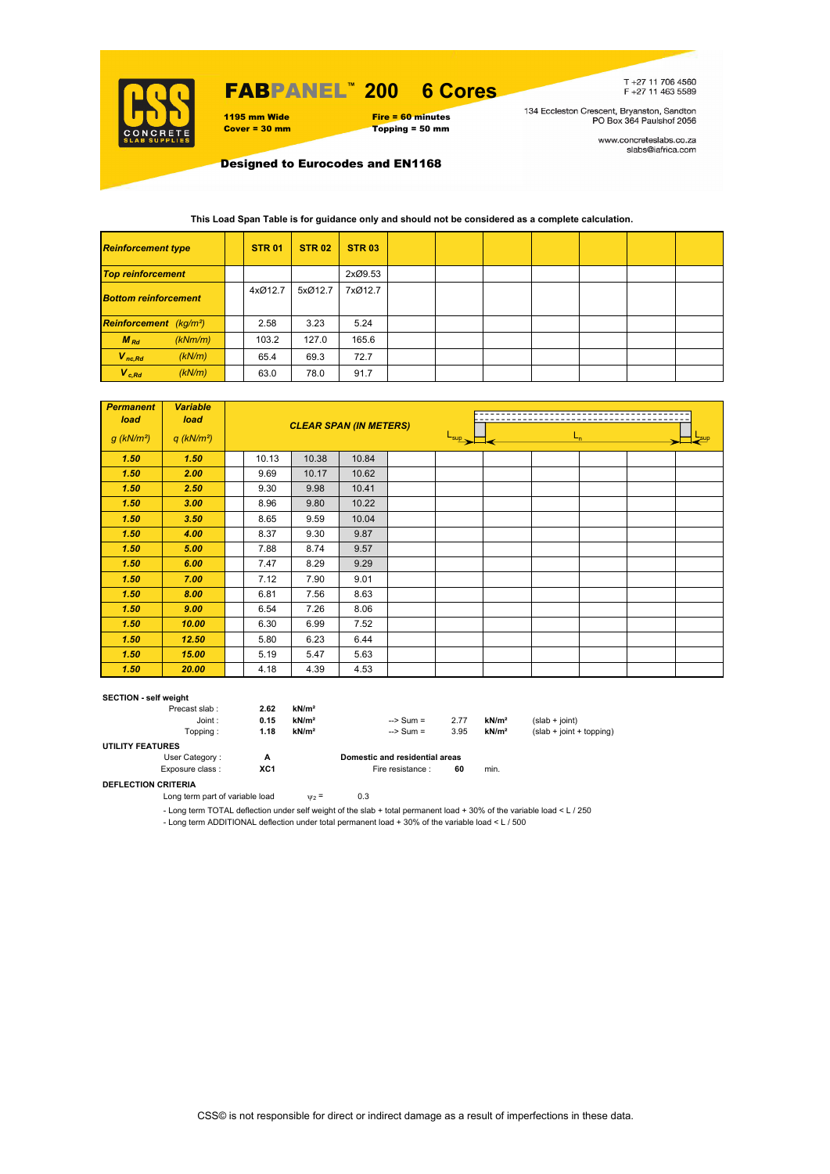

## FABPANEL**™ 200 6 Cores**

1195 mm Wide Fire = 60 minutes<br>
Cover = 30 mm Topping = 50 mm Topping = 50 mm

T+27 11 706 4560<br>F+27 11 463 5589

134 Eccleston Crescent, Bryanston, Sandton<br>PO Box 364 Paulshof 2056

www.concreteslabs.co.za<br>slabs@iafrica.com

Designed to Eurocodes and EN1168

#### **This Load Span Table is for guidance only and should not be considered as a complete calculation.**

| <b>Reinforcement type</b>                 |         | <b>STR 01</b> | <b>STR 02</b> | <b>STR 03</b> |  |  |  |  |
|-------------------------------------------|---------|---------------|---------------|---------------|--|--|--|--|
| <b>Top reinforcement</b>                  |         |               |               | 2xØ9.53       |  |  |  |  |
| <b>Bottom reinforcement</b>               |         | 4xØ12.7       | 5xØ12.7       | 7xØ12.7       |  |  |  |  |
| <b>Reinforcement</b> (kg/m <sup>2</sup> ) |         | 2.58          | 3.23          | 5.24          |  |  |  |  |
| $M_{Rd}$                                  | (kNm/m) | 103.2         | 127.0         | 165.6         |  |  |  |  |
| $V_{nc,Rd}$                               | (kN/m)  | 65.4          | 69.3          | 72.7          |  |  |  |  |
| $V_{c, Rd}$                               | (kN/m)  | 63.0          | 78.0          | 91.7          |  |  |  |  |

| <b>Permanent</b><br>load | <b>Variable</b><br>load  |       | <b>CLEAR SPAN (IN METERS)</b> |       |                             |  |         |  |  |  |  |
|--------------------------|--------------------------|-------|-------------------------------|-------|-----------------------------|--|---------|--|--|--|--|
| $g$ (kN/m <sup>2</sup> ) | $q$ (kN/m <sup>2</sup> ) |       |                               |       | $\frac{L_{\sup}}{L_{\sup}}$ |  | $L_{n}$ |  |  |  |  |
| 1.50                     | 1.50                     | 10.13 | 10.38                         | 10.84 |                             |  |         |  |  |  |  |
| 1.50                     | 2.00                     | 9.69  | 10.17                         | 10.62 |                             |  |         |  |  |  |  |
| 1.50                     | 2.50                     | 9.30  | 9.98                          | 10.41 |                             |  |         |  |  |  |  |
| 1.50                     | 3.00                     | 8.96  | 9.80                          | 10.22 |                             |  |         |  |  |  |  |
| 1.50                     | 3.50                     | 8.65  | 9.59                          | 10.04 |                             |  |         |  |  |  |  |
| 1.50                     | 4.00                     | 8.37  | 9.30                          | 9.87  |                             |  |         |  |  |  |  |
| 1.50                     | 5.00                     | 7.88  | 8.74                          | 9.57  |                             |  |         |  |  |  |  |
| 1.50                     | 6.00                     | 7.47  | 8.29                          | 9.29  |                             |  |         |  |  |  |  |
| 1.50                     | 7.00                     | 7.12  | 7.90                          | 9.01  |                             |  |         |  |  |  |  |
| 1.50                     | 8.00                     | 6.81  | 7.56                          | 8.63  |                             |  |         |  |  |  |  |
| 1.50                     | 9.00                     | 6.54  | 7.26                          | 8.06  |                             |  |         |  |  |  |  |
| 1.50                     | 10.00                    | 6.30  | 6.99                          | 7.52  |                             |  |         |  |  |  |  |
| 1.50                     | 12.50                    | 5.80  | 6.23                          | 6.44  |                             |  |         |  |  |  |  |
| 1.50                     | 15.00                    | 5.19  | 5.47                          | 5.63  |                             |  |         |  |  |  |  |
| 1.50                     | 20.00                    | 4.18  | 4.39                          | 4.53  |                             |  |         |  |  |  |  |

#### **SECTION - self weight**

| Precast slab:           | 2.62            | kN/m <sup>2</sup> |                                |      |                   |                            |
|-------------------------|-----------------|-------------------|--------------------------------|------|-------------------|----------------------------|
| Joint:                  | 0.15            | kN/m <sup>2</sup> | $\Rightarrow$ Sum =            | 2.77 | kN/m <sup>2</sup> | $(slab + ioint)$           |
| Topping :               | 1.18            | kN/m <sup>2</sup> | $\Rightarrow$ Sum =            | 3.95 | kN/m <sup>2</sup> | $(slab + joint + topping)$ |
| <b>UTILITY FEATURES</b> |                 |                   |                                |      |                   |                            |
| User Category:          | А               |                   | Domestic and residential areas |      |                   |                            |
| Exposure class:         | XC <sub>1</sub> |                   | Fire resistance :              | 60   | min.              |                            |

### **DEFLECTION CRITERIA**

Long term part of variable load  $v_2 = 0.3$ 

- Long term TOTAL deflection under self weight of the slab + total permanent load + 30% of the variable load < L / 250

- Long term ADDITIONAL deflection under total permanent load + 30% of the variable load < L / 500